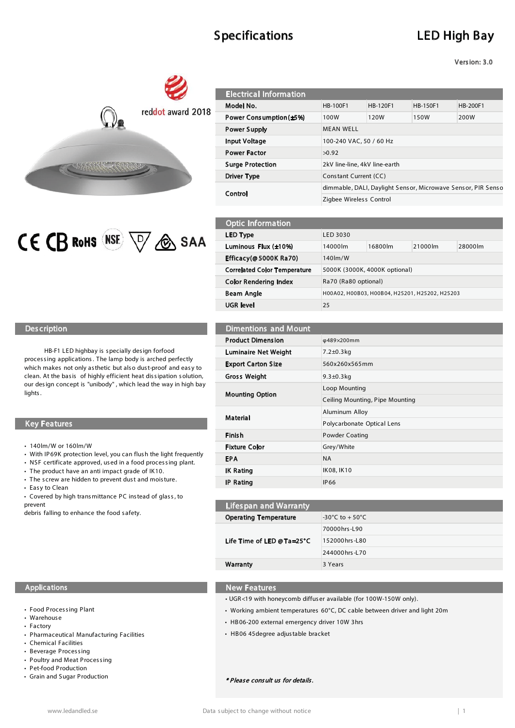# Specifications LED High Bay

Version: 3.0





| <b>Electrical Information</b> |                                                              |          |          |          |  |  |
|-------------------------------|--------------------------------------------------------------|----------|----------|----------|--|--|
| Model No.                     | <b>HB-100F1</b>                                              | HB-120F1 | HB-150F1 | HB-200F1 |  |  |
| Power Consumption (±5%)       | 100W                                                         | 120W     | 150W     | 200W     |  |  |
| <b>Power Supply</b>           | <b>MEAN WELL</b>                                             |          |          |          |  |  |
| <b>Input Voltage</b>          | 100-240 VAC, 50 / 60 Hz                                      |          |          |          |  |  |
| <b>Power Factor</b>           | >0.92                                                        |          |          |          |  |  |
| <b>Surge Protection</b>       | 2kV line-line, 4kV line-earth                                |          |          |          |  |  |
| Driver Type                   | Constant Current (CC)                                        |          |          |          |  |  |
| Control                       | dimmable, DALI, Daylight Sensor, Microwave Sensor, PIR Senso |          |          |          |  |  |
|                               | Zigbee Wireless Control                                      |          |          |          |  |  |
|                               |                                                              |          |          |          |  |  |

| <b>Optic Information</b>            |                                                |         |         |         |  |  |
|-------------------------------------|------------------------------------------------|---------|---------|---------|--|--|
| LED Type                            | LED 3030                                       |         |         |         |  |  |
| Luminous Flux (±10%)                | 14000lm                                        | 16800lm | 21000lm | 28000lm |  |  |
| Efficacy(@5000K Ra70)               | $140 \mathrm{Im} / W$                          |         |         |         |  |  |
| <b>Correlated Color Temperature</b> | 5000K (3000K, 4000K optional)                  |         |         |         |  |  |
| <b>Color Rendering Index</b>        | Ra70 (Ra80 optional)                           |         |         |         |  |  |
| <b>Beam Angle</b>                   | H00A02, H00B03, H00B04, H25201, H25202, H25203 |         |         |         |  |  |
| UGR level                           | 25                                             |         |         |         |  |  |

Ceiling Mounting, Pipe Mounting

## Description Description Dimentions and Mount

HB-F1 LED highbay is s pecially des ign forfood proces sing applications. The lamp body is arched perfectly which makes not only as thetic but also dust-proof and easy to clean. At the basis of highly efficient heat dissipation solution, our des ign concept is "unibody" , which lead the way in high bay lights .

#### Key Features **Polycarbonate Optical Lens** Polycarbonate Optical Lens

- 140lm/W or 160lm/W
- With IP 69K protection level, you can flush the light frequently
- NSF certificate approved, used in a food processing plant.
- $\cdot$  The product have an anti impact grade of IK10.
- The screw are hidden to prevent dust and moisture. • Easy to Clean
- Covered by high trans mittance PC instead of glass, to
- prevent

debris falling to enhance the food s afety.

#### Applications New Features

- Food Processing Plant
- Warehouse
- Factory
- Pharmaceutical Manufacturing Facilities
- Chemical Facilities
- Beverage Processing
- Poultry and Meat Proces sing
- Pet-food Production
- Grain and Sugar Production
- UGR<19 with honeycomb diffus er available (for 100W-150W only).
- Working ambient temperatures 60°C, DC cable between driver and light 20m

70000hrs -L90 152000hrs -L80 244000hrs -L70

• HB 06-200 external emergency driver 10W 3hrs

Product Dimension φ489×200mm

**Mounting Option Loop Mounting Option** 

Material **Aluminum Alloy** 

Finish Powder Coating

**Operating Temperature**  $-30^{\circ}$ C to + 50 $^{\circ}$ C

Fixture Color Grey/White EPA NA IK Rating IK08, IK10 IP Rating IP66

Lifespan and Warranty

Life Time of LED @ Ta=25°C

Warranty 3 Years

Luminaire Net Weight 7.2±0.3kg Export Carton Size 560x260x565mm Gross Weight 9.3±0.3kg

• HB 06 45 degree adjus table bracket

\* Please consult us for details.